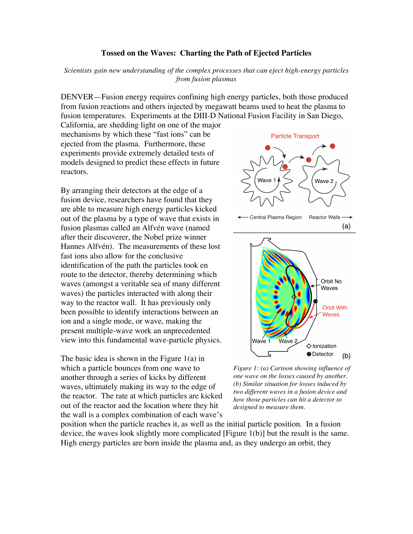## **Tossed on the Waves: Charting the Path of Ejected Particles**

*Scientists gain new understanding of the complex processes that can eject high-energy particles from fusion plasmas*

DENVER—Fusion energy requires confining high energy particles, both those produced from fusion reactions and others injected by megawatt beams used to heat the plasma to fusion temperatures. Experiments at the DIII-D National Fusion Facility in San Diego,

California, are shedding light on one of the major mechanisms by which these "fast ions" can be ejected from the plasma. Furthermore, these experiments provide extremely detailed tests of models designed to predict these effects in future reactors.

By arranging their detectors at the edge of a fusion device, researchers have found that they are able to measure high energy particles kicked out of the plasma by a type of wave that exists in fusion plasmas called an Alfvén wave (named after their discoverer, the Nobel prize winner Hannes Alfvén). The measurements of these lost fast ions also allow for the conclusive identification of the path the particles took en route to the detector, thereby determining which waves (amongst a veritable sea of many different waves) the particles interacted with along their way to the reactor wall. It has previously only been possible to identify interactions between an ion and a single mode, or wave, making the present multiple-wave work an unprecedented view into this fundamental wave-particle physics.

The basic idea is shown in the Figure 1(a) in which a particle bounces from one wave to another through a series of kicks by different waves, ultimately making its way to the edge of the reactor. The rate at which particles are kicked out of the reactor and the location where they hit the wall is a complex combination of each wave's



*Figure 1: (a) Cartoon showing influence of one wave on the losses caused by another. (b) Similar situation for losses induced by two different waves in a fusion device and how those particles can hit a detector to designed to measure them.*

position when the particle reaches it, as well as the initial particle position. In a fusion device, the waves look slightly more complicated [Figure 1(b)] but the result is the same. High energy particles are born inside the plasma and, as they undergo an orbit, they